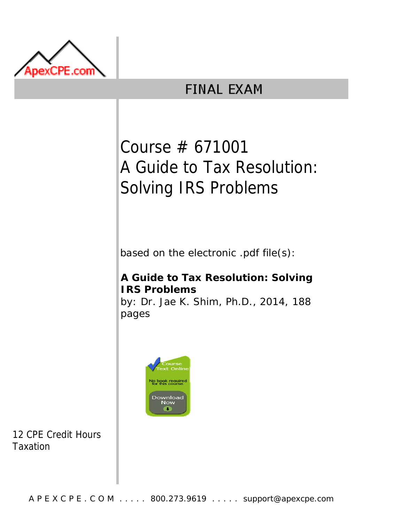

## **FINAL EXAM**

# Course # 671001 A Guide to Tax Resolution: Solving IRS Problems

based on the electronic .pdf file(s):

### **A Guide to Tax Resolution: Solving IRS Problems**

by: Dr. Jae K. Shim, Ph.D., 2014, 188 pages



12 CPE Credit Hours Taxation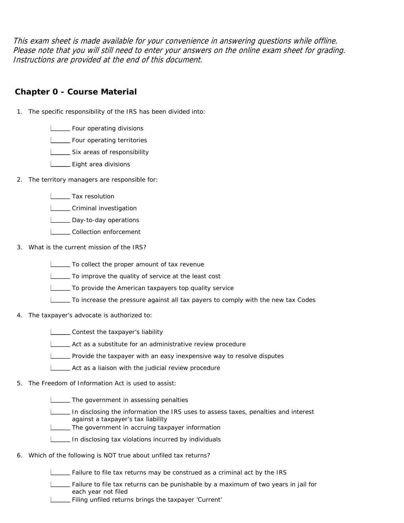This exam sheet is made available for your convenience in answering questions while offline. Please note that you will still need to enter your answers on the online exam sheet for grading. Instructions are provided at the end of this document.

#### **Chapter 0 - Course Material**

- 1. The specific responsibility of the IRS has been divided into:
	- **LETT** Four operating divisions
	- **L** Four operating territories
	- Six areas of responsibility
	- L\_\_\_\_\_ Eight area divisions
- 2. The territory managers are responsible for:
	- **L** Tax resolution
	- **LETT** Criminal investigation
	- Day-to-day operations
	- **LECOLLECTION** enforcement
- 3. What is the current mission of the IRS?
	- To collect the proper amount of tax revenue
	- To improve the quality of service at the least cost
	- To provide the American taxpayers top quality service
	- To increase the pressure against all tax payers to comply with the new tax Codes
- 4. The taxpayer's advocate is authorized to:
	- **LETT** Contest the taxpayer's liability
	- Act as a substitute for an administrative review procedure
	- Provide the taxpayer with an easy inexpensive way to resolve disputes
	- Act as a liaison with the judicial review procedure
- 5. The Freedom of Information Act is used to assist:
	- **The government in assessing penalties**
	- In disclosing the information the IRS uses to assess taxes, penalties and interest against a taxpayer's tax liability
	- **The government in accruing taxpayer information**
	- In disclosing tax violations incurred by individuals
- 6. Which of the following is NOT true about unfiled tax returns?

Failure to file tax returns may be construed as a criminal act by the IRS

- Failure to file tax returns can be punishable by a maximum of two years in jail for each year not filed
- Filing unfiled returns brings the taxpayer 'Current'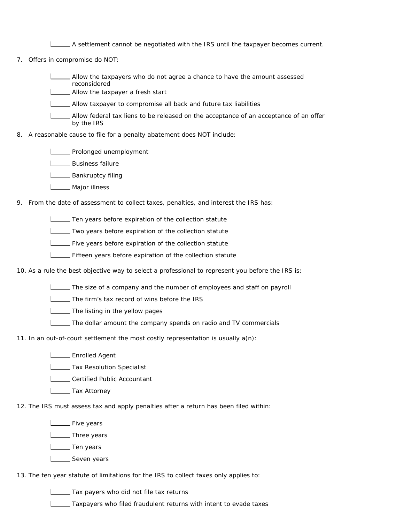A settlement cannot be negotiated with the IRS until the taxpayer becomes current.

7. Offers in compromise do NOT:

Allow the taxpayers who do not agree a chance to have the amount assessed reconsidered

**L\_\_\_\_ Allow the taxpayer a fresh start** 

Allow taxpayer to compromise all back and future tax liabilities

Allow federal tax liens to be released on the acceptance of an acceptance of an offer by the IRS

8. A reasonable cause to file for a penalty abatement does NOT include:

**LETTE** Prolonged unemployment

**L** Business failure

**L** Bankruptcy filing

**L\_\_\_\_** Major illness

9. From the date of assessment to collect taxes, penalties, and interest the IRS has:

Ten years before expiration of the collection statute

**Two years before expiration of the collection statute** 

Five years before expiration of the collection statute

Fifteen years before expiration of the collection statute

10. As a rule the best objective way to select a professional to represent you before the IRS is:

 $\Box$  The size of a company and the number of employees and staff on payroll

The firm's tax record of wins before the IRS

**LETTIME** The listing in the yellow pages

The dollar amount the company spends on radio and TV commercials

11. In an out-of-court settlement the most costly representation is usually a(n):

**LEARED Enrolled Agent** 

**L\_\_\_\_\_ Tax Resolution Specialist** 

**LETT** Certified Public Accountant

**L**\_\_\_\_\_\_Tax Attorney

12. The IRS must assess tax and apply penalties after a return has been filed within:

**L\_\_\_\_** Five years

**L** Three years

L\_\_\_\_\_ Ten years

**L** Seven years

13. The ten year statute of limitations for the IRS to collect taxes only applies to:

Tax payers who did not file tax returns

Taxpayers who filed fraudulent returns with intent to evade taxes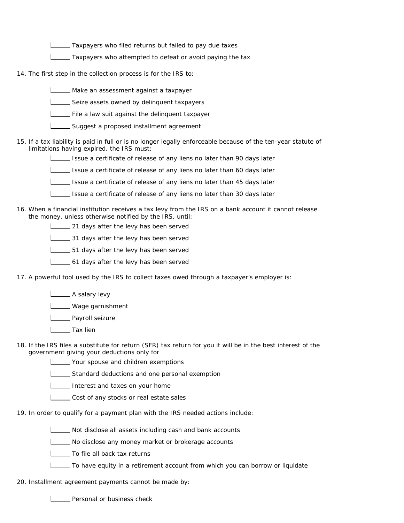**Taxpayers who filed returns but failed to pay due taxes** 

Taxpayers who attempted to defeat or avoid paying the tax

14. The first step in the collection process is for the IRS to:

Make an assessment against a taxpayer

Seize assets owned by delinquent taxpayers

File a law suit against the delinquent taxpayer

- Suggest a proposed installment agreement
- 15. If a tax liability is paid in full or is no longer legally enforceable because of the ten-year statute of limitations having expired, the IRS must:
	- Issue a certificate of release of any liens no later than 90 days later

Issue a certificate of release of any liens no later than 60 days later

Issue a certificate of release of any liens no later than 45 days later

Issue a certificate of release of any liens no later than 30 days later

16. When a financial institution receives a tax levy from the IRS on a bank account it cannot release the money, unless otherwise notified by the IRS, until:

**21 days after the levy has been served** 

31 days after the levy has been served

51 days after the levy has been served

61 days after the levy has been served

17. A powerful tool used by the IRS to collect taxes owed through a taxpayer's employer is:

**L** A salary levy

**Lackson** Wage garnishment

**Lower Payroll seizure** 

L<sub>ab</sub> Tax lien

18. If the IRS files a substitute for return (SFR) tax return for you it will be in the best interest of the government giving your deductions only for

Your spouse and children exemptions

Standard deductions and one personal exemption

Interest and taxes on your home

Cost of any stocks or real estate sales

19. In order to qualify for a payment plan with the IRS needed actions include:

Not disclose all assets including cash and bank accounts

No disclose any money market or brokerage accounts

**L** To file all back tax returns

To have equity in a retirement account from which you can borrow or liquidate

20. Installment agreement payments cannot be made by:

| \_\_ Personal or business check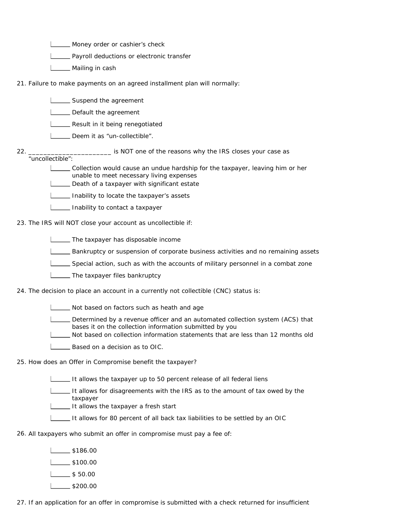**LETT** Money order or cashier's check

**LETT** Payroll deductions or electronic transfer

- **LACCE** Mailing in cash
- 21. Failure to make payments on an agreed installment plan will normally:
	- **LECT** Suspend the agreement
	- Default the agreement
	- **LETT** Result in it being renegotiated
	- **Letter** Deem it as "un-collectible".

\_\_\_\_\_\_\_\_\_\_\_\_\_\_\_\_\_\_\_\_\_\_ is NOT one of the reasons why the IRS closes your case as

- 22. "uncollectible":
	- Collection would cause an undue hardship for the taxpayer, leaving him or her unable to meet necessary living expenses
	- Death of a taxpayer with significant estate
	- **ILCOLOGITY** Inability to locate the taxpayer's assets
	- **Inability to contact a taxpayer**
- 23. The IRS will NOT close your account as uncollectible if:
	- **The taxpayer has disposable income**
	- Bankruptcy or suspension of corporate business activities and no remaining assets
	- Special action, such as with the accounts of military personnel in a combat zone
	- **The taxpayer files bankruptcy**
- 24. The decision to place an account in a currently not collectible (CNC) status is:
	- Not based on factors such as heath and age
	- Determined by a revenue officer and an automated collection system (ACS) that bases it on the collection information submitted by you
	- Not based on collection information statements that are less than 12 months old
	- **Based on a decision as to OIC.**
- 25. How does an Offer in Compromise benefit the taxpayer?
	- It allows the taxpayer up to 50 percent release of all federal liens
	- It allows for disagreements with the IRS as to the amount of tax owed by the taxpayer
	- It allows the taxpayer a fresh start
	- It allows for 80 percent of all back tax liabilities to be settled by an OIC
- 26. All taxpayers who submit an offer in compromise must pay a fee of:
	- $\sqrt{ }$ \$186.00  $\frac{1}{1}$ \$100.00
	- $1 \_ $50.00$
	- $L_{200.00}$
- 27. If an application for an offer in compromise is submitted with a check returned for insufficient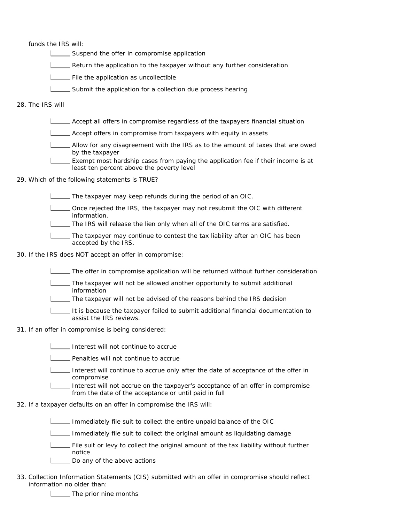funds the IRS will:

Suspend the offer in compromise application

- **LETT** Return the application to the taxpayer without any further consideration
- File the application as uncollectible
- Submit the application for a collection due process hearing

28. The IRS will

- Accept all offers in compromise regardless of the taxpayers financial situation
- Accept offers in compromise from taxpayers with equity in assets
- Allow for any disagreement with the IRS as to the amount of taxes that are owed by the taxpayer
- Exempt most hardship cases from paying the application fee if their income is at least ten percent above the poverty level
- 29. Which of the following statements is TRUE?
	- The taxpayer may keep refunds during the period of an OIC.
	- Once rejected the IRS, the taxpayer may not resubmit the OIC with different information.
	- The IRS will release the lien only when all of the OIC terms are satisfied.
	- The taxpayer may continue to contest the tax liability after an OIC has been accepted by the IRS.
- 30. If the IRS does NOT accept an offer in compromise:
	- The offer in compromise application will be returned without further consideration
	- The taxpayer will not be allowed another opportunity to submit additional information
	- The taxpayer will not be advised of the reasons behind the IRS decision
	- It is because the taxpayer failed to submit additional financial documentation to assist the IRS reviews.
- 31. If an offer in compromise is being considered:
	- **Interest will not continue to accrue**
	- **LETT** Penalties will not continue to accrue
	- Interest will continue to accrue only after the date of acceptance of the offer in compromise
	- Interest will not accrue on the taxpayer's acceptance of an offer in compromise from the date of the acceptance or until paid in full
- 32. If a taxpayer defaults on an offer in compromise the IRS will:
	- Immediately file suit to collect the entire unpaid balance of the OIC
	- $\Box$  Immediately file suit to collect the original amount as liquidating damage
	- File suit or levy to collect the original amount of the tax liability without further notice
	- Do any of the above actions
- 33. Collection Information Statements (CIS) submitted with an offer in compromise should reflect information no older than:
	- **LETTIA** The prior nine months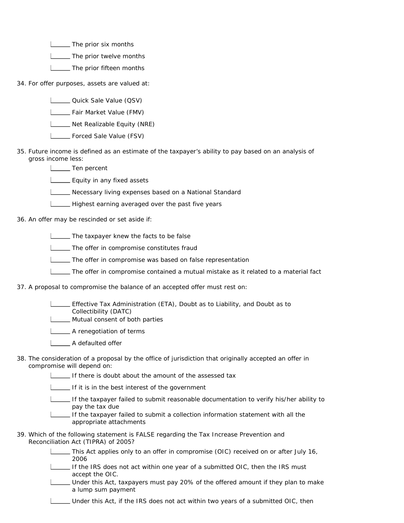**LETTIA** The prior six months

**LETTIME:** The prior twelve months

**LETTIA** The prior fifteen months

34. For offer purposes, assets are valued at:

- **Letter** Quick Sale Value (QSV)
- **Letter** Fair Market Value (FMV)
- Net Realizable Equity (NRE)
- **L\_\_\_\_ Forced Sale Value (FSV)**
- 35. Future income is defined as an estimate of the taxpayer's ability to pay based on an analysis of gross income less:
	- **L** Ten percent
	- **L** Equity in any fixed assets
	- Necessary living expenses based on a National Standard
	- Highest earning averaged over the past five years
- 36. An offer may be rescinded or set aside if:
	- The taxpayer knew the facts to be false
	- **The offer in compromise constitutes fraud**
	- The offer in compromise was based on false representation
	- The offer in compromise contained a mutual mistake as it related to a material fact
- 37. A proposal to compromise the balance of an accepted offer must rest on:
	- Effective Tax Administration (ETA), Doubt as to Liability, and Doubt as to Collectibility (DATC)
	- **Mutual consent of both parties**
	- **LETTE** A renegotiation of terms
	- A defaulted offer
- 38. The consideration of a proposal by the office of jurisdiction that originally accepted an offer in compromise will depend on:

If there is doubt about the amount of the assessed tax

If it is in the best interest of the government

- If the taxpayer failed to submit reasonable documentation to verify his/her ability to pay the tax due
- If the taxpayer failed to submit a collection information statement with all the appropriate attachments
- 39. Which of the following statement is FALSE regarding the Tax Increase Prevention and Reconciliation Act (TIPRA) of 2005?
	- This Act applies only to an offer in compromise (OIC) received on or after July 16, 2006
	- If the IRS does not act within one year of a submitted OIC, then the IRS must accept the OIC.
	- Under this Act, taxpayers must pay 20% of the offered amount if they plan to make a lump sum payment
	- Under this Act, if the IRS does not act within two years of a submitted OIC, then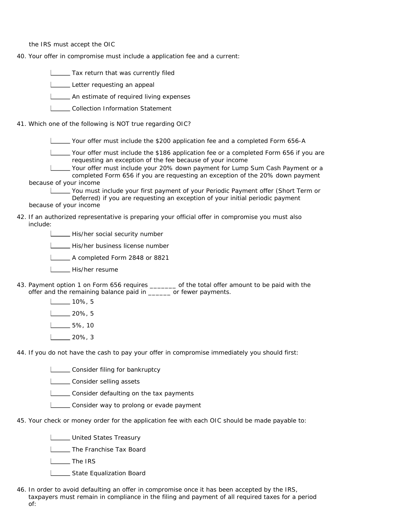the IRS must accept the OIC

40. Your offer in compromise must include a application fee and a current:

**Tax return that was currently filed** 

Letter requesting an appeal

**L\_\_\_\_\_** An estimate of required living expenses

L\_\_\_\_Collection Information Statement

41. Which one of the following is NOT true regarding OIC?

Your offer must include the \$200 application fee and a completed Form 656-A

Your offer must include the \$186 application fee or a completed Form 656 if you are requesting an exception of the fee because of your income

Your offer must include your 20% down payment for Lump Sum Cash Payment or a completed Form 656 if you are requesting an exception of the 20% down payment because of your income

You must include your first payment of your Periodic Payment offer (Short Term or Deferred) if you are requesting an exception of your initial periodic payment

because of your income

42. If an authorized representative is preparing your official offer in compromise you must also include:

His/her social security number

| His/her business license number

A completed Form 2848 or 8821

- L\_\_\_\_ His/her resume
- 43. Payment option 1 on Form 656 requires \_\_\_\_\_\_\_ of the total offer amount to be paid with the offer and the remaining balance paid in \_\_\_\_\_\_ or fewer payments.
	- $10\%$ , 5
	- $1$ <sub>\_\_\_</sub>20%, 5
	- $\sqrt{5\%}$ , 10
	- $L_{20\%}$ , 3

44. If you do not have the cash to pay your offer in compromise immediately you should first:

**LETT** Consider filing for bankruptcy

**Latting** consider selling assets

**LECONSIDE CONSIDER** CONSIDER **CONSIDER** CONSIDER A LOCAL CONSIDER A LOCAL CONSIDERATION OF **CONSIDER** CONSIDERATION OF **CONSIDERATION** 

- **LECONSIDER WAY to prolong or evade payment**
- 45. Your check or money order for the application fee with each OIC should be made payable to:

**Letter** United States Treasury

**LETTA** The Franchise Tax Board

L<sub>ta</sub>The IRS

State Equalization Board

46. In order to avoid defaulting an offer in compromise once it has been accepted by the IRS, taxpayers must remain in compliance in the filing and payment of all required taxes for a period of: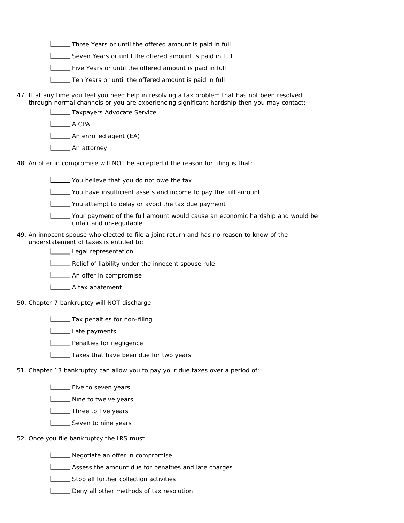Three Years or until the offered amount is paid in full

Seven Years or until the offered amount is paid in full

**LETT** Five Years or until the offered amount is paid in full

- Ten Years or until the offered amount is paid in full
- 47. If at any time you feel you need help in resolving a tax problem that has not been resolved through normal channels or you are experiencing significant hardship then you may contact:

**L** Taxpayers Advocate Service

LA CPA

**L** An enrolled agent (EA)

**L** An attorney

48. An offer in compromise will NOT be accepted if the reason for filing is that:

You believe that you do not owe the tax

You have insufficient assets and income to pay the full amount

You attempt to delay or avoid the tax due payment

Your payment of the full amount would cause an economic hardship and would be unfair and un-equitable

49. An innocent spouse who elected to file a joint return and has no reason to know of the understatement of taxes is entitled to:

Legal representation

**LETT** Relief of liability under the innocent spouse rule

**LETTE** An offer in compromise

A tax abatement

50. Chapter 7 bankruptcy will NOT discharge

**Tax penalties for non-filing** 

Late payments

**LETT** Penalties for negligence

**Taxes that have been due for two years** 

51. Chapter 13 bankruptcy can allow you to pay your due taxes over a period of:

**LETT** Five to seven years

**LETT** Nine to twelve years

**L\_\_\_\_** Three to five years

L<sub>Seven</sub> to nine years

#### 52. Once you file bankruptcy the IRS must

Negotiate an offer in compromise

Assess the amount due for penalties and late charges

Stop all further collection activities

Deny all other methods of tax resolution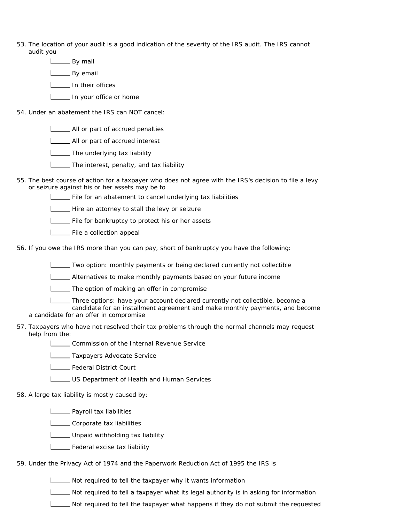- 53. The location of your audit is a good indication of the severity of the IRS audit. The IRS cannot audit you
	- **L\_\_\_\_\_** By mail
	- **L**By email
	- **In their offices**
	- In your office or home
- 54. Under an abatement the IRS can NOT cancel:
	- **LETT** All or part of accrued penalties
	- **LETT** All or part of accrued interest
	- **The underlying tax liability**
	- **The interest, penalty, and tax liability**
- 55. The best course of action for a taxpayer who does not agree with the IRS's decision to file a levy or seizure against his or her assets may be to
	- **LETT** File for an abatement to cancel underlying tax liabilities
	- Hire an attorney to stall the levy or seizure
	- File for bankruptcy to protect his or her assets
	- File a collection appeal
- 56. If you owe the IRS more than you can pay, short of bankruptcy you have the following:
	- Two option: monthly payments or being declared currently not collectible
	- Alternatives to make monthly payments based on your future income
	- **The option of making an offer in compromise**
	- Three options: have your account declared currently not collectible, become a
	- candidate for an installment agreement and make monthly payments, and become a candidate for an offer in compromise
- 57. Taxpayers who have not resolved their tax problems through the normal channels may request help from the:
	- **LECOMMISSION of the Internal Revenue Service**
	- **L** Taxpayers Advocate Service
	- Federal District Court
	- US Department of Health and Human Services
- 58. A large tax liability is mostly caused by:
	- **L\_\_\_\_\_** Payroll tax liabilities
	- L\_\_\_\_\_ Corporate tax liabilities
	- **LETT** Unpaid withholding tax liability
	- **L** Federal excise tax liability
- 59. Under the Privacy Act of 1974 and the Paperwork Reduction Act of 1995 the IRS is
	- Not required to tell the taxpayer why it wants information
	- Not required to tell a taxpayer what its legal authority is in asking for information
	- $\Box$  Not required to tell the taxpayer what happens if they do not submit the requested